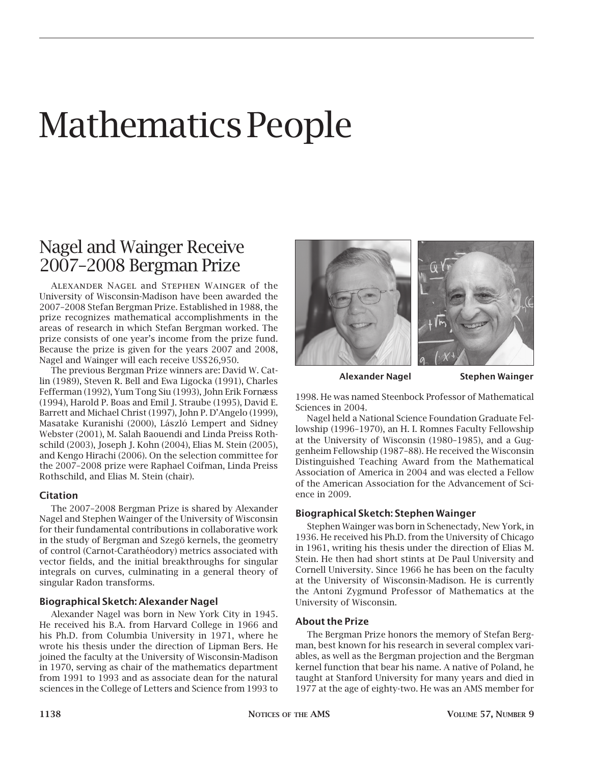# Mathematics People

## Nagel and Wainger Receive 2007–2008 Bergman Prize

Alexander Nagel and Stephen Wainger of the University of Wisconsin-Madison have been awarded the 2007–2008 Stefan Bergman Prize. Established in 1988, the prize recognizes mathematical accomplishments in the areas of research in which Stefan Bergman worked. The prize consists of one year's income from the prize fund. Because the prize is given for the years 2007 and 2008, Nagel and Wainger will each receive US\$26,950.

The previous Bergman Prize winners are: David W. Catlin (1989), Steven R. Bell and Ewa Ligocka (1991), Charles Fefferman (1992), Yum Tong Siu (1993), John Erik Fornæss (1994), Harold P. Boas and Emil J. Straube (1995), David E. Barrett and Michael Christ (1997), John P. D'Angelo (1999), Masatake Kuranishi (2000), László Lempert and Sidney Webster (2001), M. Salah Baouendi and Linda Preiss Rothschild (2003), Joseph J. Kohn (2004), Elias M. Stein (2005), and Kengo Hirachi (2006). On the selection committee for the 2007–2008 prize were Raphael Coifman, Linda Preiss Rothschild, and Elias M. Stein (chair).

#### **Citation**

The 2007–2008 Bergman Prize is shared by Alexander Nagel and Stephen Wainger of the University of Wisconsin for their fundamental contributions in collaborative work in the study of Bergman and Szegö kernels, the geometry of control (Carnot-Carathéodory) metrics associated with vector fields, and the initial breakthroughs for singular integrals on curves, culminating in a general theory of singular Radon transforms.

#### **Biographical Sketch: Alexander Nagel**

Alexander Nagel was born in New York City in 1945. He received his B.A. from Harvard College in 1966 and his Ph.D. from Columbia University in 1971, where he wrote his thesis under the direction of Lipman Bers. He joined the faculty at the University of Wisconsin-Madison in 1970, serving as chair of the mathematics department from 1991 to 1993 and as associate dean for the natural sciences in the College of Letters and Science from 1993 to



**Alexander Nagel Stephen Wainger**

1998. He was named Steenbock Professor of Mathematical Sciences in 2004.

Nagel held a National Science Foundation Graduate Fellowship (1996–1970), an H. I. Romnes Faculty Fellowship at the University of Wisconsin (1980–1985), and a Guggenheim Fellowship (1987–88). He received the Wisconsin Distinguished Teaching Award from the Mathematical Association of America in 2004 and was elected a Fellow of the American Association for the Advancement of Science in 2009.

#### **Biographical Sketch: Stephen Wainger**

Stephen Wainger was born in Schenectady, New York, in 1936. He received his Ph.D. from the University of Chicago in 1961, writing his thesis under the direction of Elias M. Stein. He then had short stints at De Paul University and Cornell University. Since 1966 he has been on the faculty at the University of Wisconsin-Madison. He is currently the Antoni Zygmund Professor of Mathematics at the University of Wisconsin.

#### **About the Prize**

The Bergman Prize honors the memory of Stefan Bergman, best known for his research in several complex variables, as well as the Bergman projection and the Bergman kernel function that bear his name. A native of Poland, he taught at Stanford University for many years and died in 1977 at the age of eighty-two. He was an AMS member for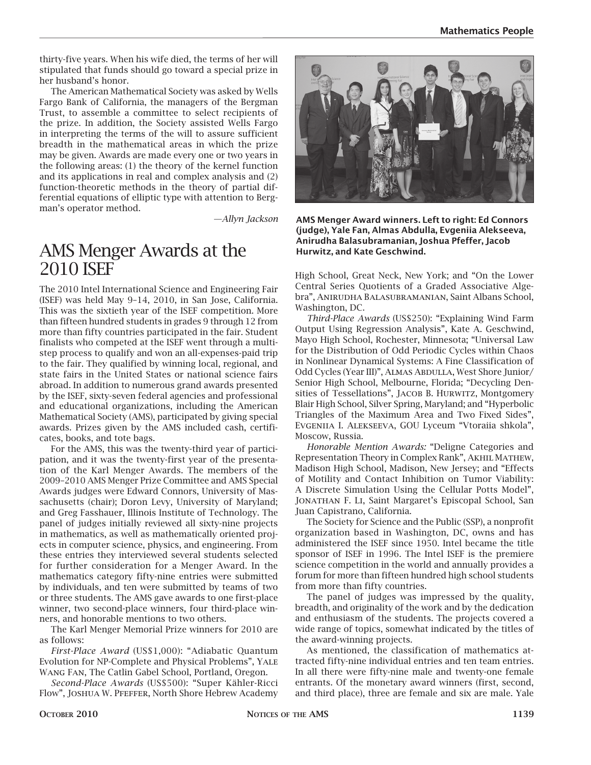thirty-five years. When his wife died, the terms of her will stipulated that funds should go toward a special prize in her husband's honor.

The American Mathematical Society was asked by Wells Fargo Bank of California, the managers of the Bergman Trust, to assemble a committee to select recipients of the prize. In addition, the Society assisted Wells Fargo in interpreting the terms of the will to assure sufficient breadth in the mathematical areas in which the prize may be given. Awards are made every one or two years in the following areas: (1) the theory of the kernel function and its applications in real and complex analysis and (2) function-theoretic methods in the theory of partial differential equations of elliptic type with attention to Bergman's operator method.

*—Allyn Jackson*

#### AMS Menger Awards at the 2010 ISEF

The 2010 Intel International Science and Engineering Fair (ISEF) was held May 9–14, 2010, in San Jose, California. This was the sixtieth year of the ISEF competition. More than fifteen hundred students in grades 9 through 12 from more than fifty countries participated in the fair. Student finalists who competed at the ISEF went through a multistep process to qualify and won an all-expenses-paid trip to the fair. They qualified by winning local, regional, and state fairs in the United States or national science fairs abroad. In addition to numerous grand awards presented by the ISEF, sixty-seven federal agencies and professional and educational organizations, including the American Mathematical Society (AMS), participated by giving special awards. Prizes given by the AMS included cash, certificates, books, and tote bags.

For the AMS, this was the twenty-third year of participation, and it was the twenty-first year of the presentation of the Karl Menger Awards. The members of the 2009–2010 AMS Menger Prize Committee and AMS Special Awards judges were Edward Connors, University of Massachusetts (chair); Doron Levy, University of Maryland; and Greg Fasshauer, Illinois Institute of Technology. The panel of judges initially reviewed all sixty-nine projects in mathematics, as well as mathematically oriented projects in computer science, physics, and engineering. From these entries they interviewed several students selected for further consideration for a Menger Award. In the mathematics category fifty-nine entries were submitted by individuals, and ten were submitted by teams of two or three students. The AMS gave awards to one first-place winner, two second-place winners, four third-place winners, and honorable mentions to two others.

The Karl Menger Memorial Prize winners for 2010 are as follows:

*First-Place Award* (US\$1,000): "Adiabatic Quantum Evolution for NP-Complete and Physical Problems", Yale Wang Fan, The Catlin Gabel School, Portland, Oregon.

*Second-Place Awards* (US\$500): "Super Kähler-Ricci Flow", Joshua W. Pfeffer, North Shore Hebrew Academy



**AMS Menger Award winners. Left to right: Ed Connors (judge), Yale Fan, Almas Abdulla, Evgeniia Alekseeva, Anirudha Balasubramanian, Joshua Pfeffer, Jacob Hurwitz, and Kate Geschwind.**

High School, Great Neck, New York; and "On the Lower Central Series Quotients of a Graded Associative Algebra", Anirudha Balasubramanian, Saint Albans School, Washington, DC.

*Third-Place Awards* (US\$250): "Explaining Wind Farm Output Using Regression Analysis", Kate A. Geschwind, Mayo High School, Rochester, Minnesota; "Universal Law for the Distribution of Odd Periodic Cycles within Chaos in Nonlinear Dynamical Systems: A Fine Classification of Odd Cycles (Year III)", Almas Abdulla, West Shore Junior/ Senior High School, Melbourne, Florida; "Decycling Densities of Tessellations", JACOB B. HURWITZ, Montgomery Blair High School, Silver Spring, Maryland; and "Hyperbolic Triangles of the Maximum Area and Two Fixed Sides", Evgeniia I. Alekseeva, GOU Lyceum "Vtoraiia shkola", Moscow, Russia.

*Honorable Mention Awards:* "Deligne Categories and Representation Theory in Complex Rank", Akhil Mathew, Madison High School, Madison, New Jersey; and "Effects of Motility and Contact Inhibition on Tumor Viability: A Discrete Simulation Using the Cellular Potts Model", Jonathan F. Li, Saint Margaret's Episcopal School, San Juan Capistrano, California.

The Society for Science and the Public (SSP), a nonprofit organization based in Washington, DC, owns and has administered the ISEF since 1950. Intel became the title sponsor of ISEF in 1996. The Intel ISEF is the premiere science competition in the world and annually provides a forum for more than fifteen hundred high school students from more than fifty countries.

The panel of judges was impressed by the quality, breadth, and originality of the work and by the dedication and enthusiasm of the students. The projects covered a wide range of topics, somewhat indicated by the titles of the award-winning projects.

As mentioned, the classification of mathematics attracted fifty-nine individual entries and ten team entries. In all there were fifty-nine male and twenty-one female entrants. Of the monetary award winners (first, second, and third place), three are female and six are male. Yale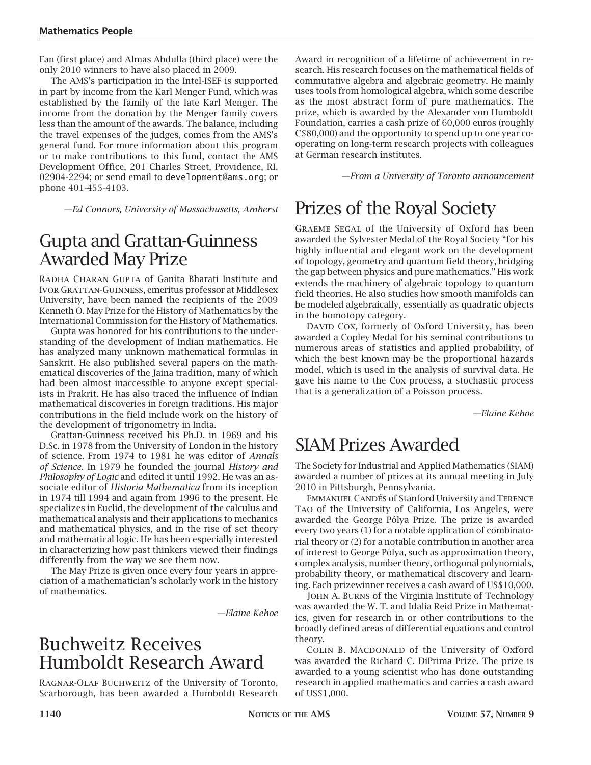Fan (first place) and Almas Abdulla (third place) were the only 2010 winners to have also placed in 2009.

The AMS's participation in the Intel-ISEF is supported in part by income from the Karl Menger Fund, which was established by the family of the late Karl Menger. The income from the donation by the Menger family covers less than the amount of the awards. The balance, including the travel expenses of the judges, comes from the AMS's general fund. For more information about this program or to make contributions to this fund, contact the AMS Development Office, 201 Charles Street, Providence, RI, 02904-2294; or send email to development@ams.org; or phone 401-455-4103.

*—Ed Connors, University of Massachusetts, Amherst*

## Gupta and Grattan-Guinness Awarded May Prize

Radha Charan Gupta of Ganita Bharati Institute and Ivor Grattan-Guinness, emeritus professor at Middlesex University, have been named the recipients of the 2009 Kenneth O. May Prize for the History of Mathematics by the International Commission for the History of Mathematics.

Gupta was honored for his contributions to the understanding of the development of Indian mathematics. He has analyzed many unknown mathematical formulas in Sanskrit. He also published several papers on the mathematical discoveries of the Jaina tradition, many of which had been almost inaccessible to anyone except specialists in Prakrit. He has also traced the influence of Indian mathematical discoveries in foreign traditions. His major contributions in the field include work on the history of the development of trigonometry in India.

Grattan-Guinness received his Ph.D. in 1969 and his D.Sc. in 1978 from the University of London in the history of science. From 1974 to 1981 he was editor of *Annals of Science*. In 1979 he founded the journal *History and Philosophy of Logic* and edited it until 1992. He was an associate editor of *Historia Mathematica* from its inception in 1974 till 1994 and again from 1996 to the present. He specializes in Euclid, the development of the calculus and mathematical analysis and their applications to mechanics and mathematical physics, and in the rise of set theory and mathematical logic. He has been especially interested in characterizing how past thinkers viewed their findings differently from the way we see them now.

The May Prize is given once every four years in appreciation of a mathematician's scholarly work in the history of mathematics.

*—Elaine Kehoe*

#### Buchweitz Receives Humboldt Research Award

Ragnar-Olaf Buchweitz of the University of Toronto, Scarborough, has been awarded a Humboldt Research

Award in recognition of a lifetime of achievement in research. His research focuses on the mathematical fields of commutative algebra and algebraic geometry. He mainly uses tools from homological algebra, which some describe as the most abstract form of pure mathematics. The prize, which is awarded by the Alexander von Humboldt Foundation, carries a cash prize of 60,000 euros (roughly C\$80,000) and the opportunity to spend up to one year cooperating on long-term research projects with colleagues at German research institutes.

*—From a University of Toronto announcement*

# Prizes of the Royal Society

Graeme Segal of the University of Oxford has been awarded the Sylvester Medal of the Royal Society "for his highly influential and elegant work on the development of topology, geometry and quantum field theory, bridging the gap between physics and pure mathematics." His work extends the machinery of algebraic topology to quantum field theories. He also studies how smooth manifolds can be modeled algebraically, essentially as quadratic objects in the homotopy category.

DAVID COX, formerly of Oxford University, has been awarded a Copley Medal for his seminal contributions to numerous areas of statistics and applied probability, of which the best known may be the proportional hazards model, which is used in the analysis of survival data. He gave his name to the Cox process, a stochastic process that is a generalization of a Poisson process.

*—Elaine Kehoe*

### SIAM Prizes Awarded

The Society for Industrial and Applied Mathematics (SIAM) awarded a number of prizes at its annual meeting in July 2010 in Pittsburgh, Pennsylvania.

Emmanuel Candés of Stanford University and Terence Tao of the University of California, Los Angeles, were awarded the George Pólya Prize. The prize is awarded every two years (1) for a notable application of combinatorial theory or (2) for a notable contribution in another area of interest to George Pólya, such as approximation theory, complex analysis, number theory, orthogonal polynomials, probability theory, or mathematical discovery and learning. Each prizewinner receives a cash award of US\$10,000.

John A. Burns of the Virginia Institute of Technology was awarded the W. T. and Idalia Reid Prize in Mathematics, given for research in or other contributions to the broadly defined areas of differential equations and control theory.

COLIN B. MACDONALD of the University of Oxford was awarded the Richard C. DiPrima Prize. The prize is awarded to a young scientist who has done outstanding research in applied mathematics and carries a cash award of US\$1,000.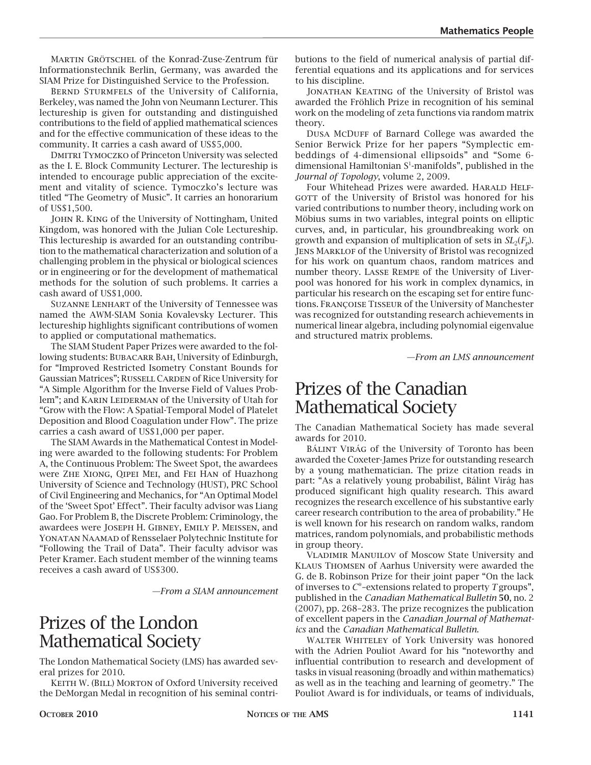Martin Grötschel of the Konrad-Zuse-Zentrum für Informationstechnik Berlin, Germany, was awarded the SIAM Prize for Distinguished Service to the Profession.

BERND STURMFELS of the University of California, Berkeley, was named the John von Neumann Lecturer. This lectureship is given for outstanding and distinguished contributions to the field of applied mathematical sciences and for the effective communication of these ideas to the community. It carries a cash award of US\$5,000.

DMITRI TYMOCZKO of Princeton University was selected as the I. E. Block Community Lecturer. The lectureship is intended to encourage public appreciation of the excitement and vitality of science. Tymoczko's lecture was titled "The Geometry of Music". It carries an honorarium of US\$1,500.

John R. King of the University of Nottingham, United Kingdom, was honored with the Julian Cole Lectureship. This lectureship is awarded for an outstanding contribution to the mathematical characterization and solution of a challenging problem in the physical or biological sciences or in engineering or for the development of mathematical methods for the solution of such problems. It carries a cash award of US\$1,000.

Suzanne Lenhart of the University of Tennessee was named the AWM-SIAM Sonia Kovalevsky Lecturer. This lectureship highlights significant contributions of women to applied or computational mathematics.

The SIAM Student Paper Prizes were awarded to the following students: BUBACARR BAH, University of Edinburgh, for "Improved Restricted Isometry Constant Bounds for Gaussian Matrices"; RUSSELL CARDEN of Rice University for "A Simple Algorithm for the Inverse Field of Values Problem"; and KARIN LEIDERMAN of the University of Utah for "Grow with the Flow: A Spatial-Temporal Model of Platelet Deposition and Blood Coagulation under Flow". The prize carries a cash award of US\$1,000 per paper.

The SIAM Awards in the Mathematical Contest in Modeling were awarded to the following students: For Problem A, the Continuous Problem: The Sweet Spot, the awardees were Zhe Xiong, Qipei Mei, and Fei Han of Huazhong University of Science and Technology (HUST), PRC School of Civil Engineering and Mechanics, for "An Optimal Model of the 'Sweet Spot' Effect". Their faculty advisor was Liang Gao. For Problem B, the Discrete Problem: Criminology, the awardees were Joseph H. Gibney, Emily P. Meissen, and Yonatan Naamad of Rensselaer Polytechnic Institute for "Following the Trail of Data". Their faculty advisor was Peter Kramer. Each student member of the winning teams receives a cash award of US\$300.

*—From a SIAM announcement*

## Prizes of the London Mathematical Society

The London Mathematical Society (LMS) has awarded several prizes for 2010.

Keith W. (Bill) Morton of Oxford University received the DeMorgan Medal in recognition of his seminal contributions to the field of numerical analysis of partial differential equations and its applications and for services to his discipline.

JONATHAN KEATING of the University of Bristol was awarded the Fröhlich Prize in recognition of his seminal work on the modeling of zeta functions via random matrix theory.

DUSA MCDUFF of Barnard College was awarded the Senior Berwick Prize for her papers "Symplectic embeddings of 4-dimensional ellipsoids" and "Some 6 dimensional Hamiltonian  $S^1$ -manifolds", published in the *Journal of Topology*, volume 2, 2009.

Four Whitehead Prizes were awarded. HARALD HELF-GOTT of the University of Bristol was honored for his varied contributions to number theory, including work on Möbius sums in two variables, integral points on elliptic curves, and, in particular, his groundbreaking work on growth and expansion of multiplication of sets in  $SL_2(F_n)$ . Jens Marklof of the University of Bristol was recognized for his work on quantum chaos, random matrices and number theory. Lasse Rempe of the University of Liverpool was honored for his work in complex dynamics, in particular his research on the escaping set for entire functions. Françoise Tisseur of the University of Manchester was recognized for outstanding research achievements in numerical linear algebra, including polynomial eigenvalue and structured matrix problems.

*—From an LMS announcement*

## Prizes of the Canadian Mathematical Society

The Canadian Mathematical Society has made several awards for 2010.

Bálint Virág of the University of Toronto has been awarded the Coxeter-James Prize for outstanding research by a young mathematician. The prize citation reads in part: "As a relatively young probabilist, Bálint Virág has produced significant high quality research. This award recognizes the research excellence of his substantive early career research contribution to the area of probability." He is well known for his research on random walks, random matrices, random polynomials, and probabilistic methods in group theory.

Vladimir Manuilov of Moscow State University and Klaus Thomsen of Aarhus University were awarded the G. de B. Robinson Prize for their joint paper "On the lack of inverses to *C*\*–extensions related to property *T* groups", published in the *Canadian Mathematical Bulletin* **50**, no. 2 (2007), pp. 268–283. The prize recognizes the publication of excellent papers in the *Canadian Journal of Mathematics* and the *Canadian Mathematical Bulletin*.

WALTER WHITELEY of York University was honored with the Adrien Pouliot Award for his "noteworthy and influential contribution to research and development of tasks in visual reasoning (broadly and within mathematics) as well as in the teaching and learning of geometry." The Pouliot Award is for individuals, or teams of individuals,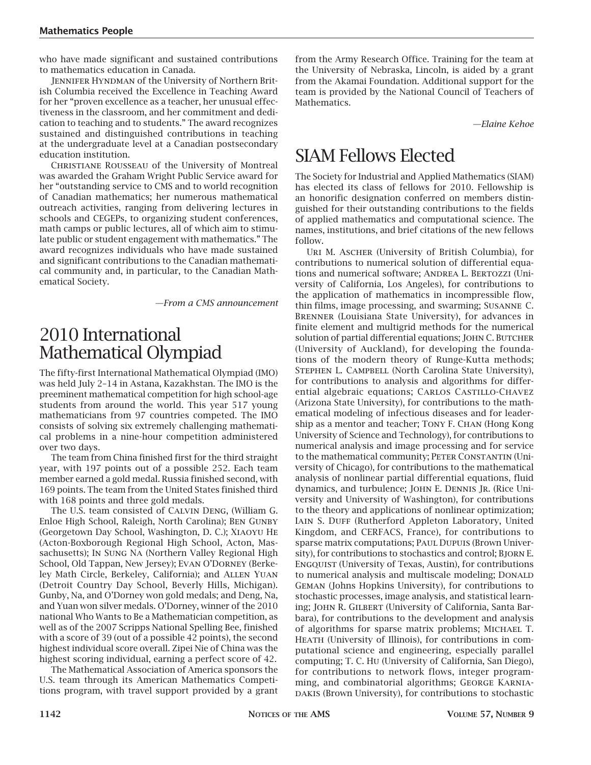who have made significant and sustained contributions to mathematics education in Canada.

JENNIFER HYNDMAN of the University of Northern British Columbia received the Excellence in Teaching Award for her "proven excellence as a teacher, her unusual effectiveness in the classroom, and her commitment and dedication to teaching and to students." The award recognizes sustained and distinguished contributions in teaching at the undergraduate level at a Canadian postsecondary education institution.

Christiane Rousseau of the University of Montreal was awarded the Graham Wright Public Service award for her "outstanding service to CMS and to world recognition of Canadian mathematics; her numerous mathematical outreach activities, ranging from delivering lectures in schools and CEGEPs, to organizing student conferences, math camps or public lectures, all of which aim to stimulate public or student engagement with mathematics." The award recognizes individuals who have made sustained and significant contributions to the Canadian mathematical community and, in particular, to the Canadian Mathematical Society.

*—From a CMS announcement*

## 2010 International Mathematical Olympiad

The fifty-first International Mathematical Olympiad (IMO) was held July 2–14 in Astana, Kazakhstan. The IMO is the preeminent mathematical competition for high school-age students from around the world. This year 517 young mathematicians from 97 countries competed. The IMO consists of solving six extremely challenging mathematical problems in a nine-hour competition administered over two days.

The team from China finished first for the third straight year, with 197 points out of a possible 252. Each team member earned a gold medal. Russia finished second, with 169 points. The team from the United States finished third with 168 points and three gold medals.

The U.S. team consisted of Calvin Deng, (William G. Enloe High School, Raleigh, North Carolina); Ben Gunby (Georgetown Day School, Washington, D. C.); Xiaoyu He (Acton-Boxborough Regional High School, Acton, Massachusetts); In Sung Na (Northern Valley Regional High School, Old Tappan, New Jersey); Evan O'Dorney (Berkeley Math Circle, Berkeley, California); and Allen Yuan (Detroit Country Day School, Beverly Hills, Michigan). Gunby, Na, and O'Dorney won gold medals; and Deng, Na, and Yuan won silver medals. O'Dorney, winner of the 2010 national Who Wants to Be a Mathematician competition, as well as of the 2007 Scripps National Spelling Bee, finished with a score of 39 (out of a possible 42 points), the second highest individual score overall. Zipei Nie of China was the highest scoring individual, earning a perfect score of 42.

The Mathematical Association of America sponsors the U.S. team through its American Mathematics Competitions program, with travel support provided by a grant

from the Army Research Office. Training for the team at the University of Nebraska, Lincoln, is aided by a grant from the Akamai Foundation. Additional support for the team is provided by the National Council of Teachers of Mathematics.

*—Elaine Kehoe*

## SIAM Fellows Elected

The Society for Industrial and Applied Mathematics (SIAM) has elected its class of fellows for 2010. Fellowship is an honorific designation conferred on members distinguished for their outstanding contributions to the fields of applied mathematics and computational science. The names, institutions, and brief citations of the new fellows follow.

Uri M. Ascher (University of British Columbia), for contributions to numerical solution of differential equations and numerical software; ANDREA L. BERTOZZI (University of California, Los Angeles), for contributions to the application of mathematics in incompressible flow, thin films, image processing, and swarming; Susanne C. Brenner (Louisiana State University), for advances in finite element and multigrid methods for the numerical solution of partial differential equations; JOHN C. BUTCHER (University of Auckland), for developing the foundations of the modern theory of Runge-Kutta methods; STEPHEN L. CAMPBELL (North Carolina State University), for contributions to analysis and algorithms for differential algebraic equations; CARLOS CASTILLO-CHAVEZ (Arizona State University), for contributions to the mathematical modeling of infectious diseases and for leadership as a mentor and teacher; TONY F. CHAN (Hong Kong University of Science and Technology), for contributions to numerical analysis and image processing and for service to the mathematical community; PETER CONSTANTIN (University of Chicago), for contributions to the mathematical analysis of nonlinear partial differential equations, fluid dynamics, and turbulence; JOHN E. DENNIS JR. (Rice University and University of Washington), for contributions to the theory and applications of nonlinear optimization; IAIN S. DUFF (Rutherford Appleton Laboratory, United Kingdom, and CERFACS, France), for contributions to sparse matrix computations; PAUL DUPUIS (Brown University), for contributions to stochastics and control; BJORN E. Engquist (University of Texas, Austin), for contributions to numerical analysis and multiscale modeling; DONALD Geman (Johns Hopkins University), for contributions to stochastic processes, image analysis, and statistical learning; John R. Gilbert (University of California, Santa Barbara), for contributions to the development and analysis of algorithms for sparse matrix problems; Michael T. Heath (University of Illinois), for contributions in computational science and engineering, especially parallel computing; T. C. Hu (University of California, San Diego), for contributions to network flows, integer programming, and combinatorial algorithms; George Karnia-DAKIS (Brown University), for contributions to stochastic